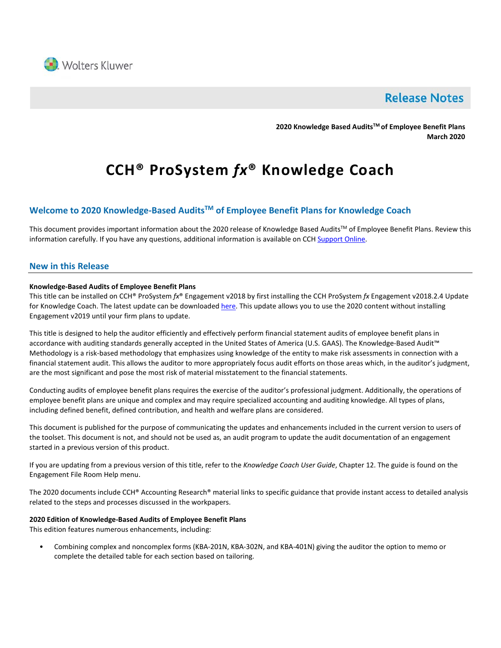

# **Release Notes**

**2020 Knowledge Based AuditsTM of Employee Benefit Plans March 2020**

# **CCH® ProSystem** *fx***® Knowledge Coach**

# **Welcome to 2020 Knowledge-Based AuditsTM of Employee Benefit Plans for Knowledge Coach**

This document provides important information about the 2020 release of Knowledge Based Audits™ of Employee Benefit Plans. Review this information carefully. If you have any questions, additional information is available on CC[H Support Online.](http://support.cch.com/productsupport/)

# **New in this Release**

#### **Knowledge-Based Audits of Employee Benefit Plans**

This title can be installed on CCH® ProSystem *fx*® Engagement v2018 by first installing the CCH ProSystem *fx* Engagement v2018.2.4 Update for Knowledge Coach. The latest update can be downloade[d here.](https://support.cch.com/updates/Engagement/release2018/release2018.aspx) This update allows you to use the 2020 content without installing Engagement v2019 until your firm plans to update.

This title is designed to help the auditor efficiently and effectively perform financial statement audits of employee benefit plans in accordance with auditing standards generally accepted in the United States of America (U.S. GAAS). The Knowledge-Based Audit™ Methodology is a risk-based methodology that emphasizes using knowledge of the entity to make risk assessments in connection with a financial statement audit. This allows the auditor to more appropriately focus audit efforts on those areas which, in the auditor's judgment, are the most significant and pose the most risk of material misstatement to the financial statements.

Conducting audits of employee benefit plans requires the exercise of the auditor's professional judgment. Additionally, the operations of employee benefit plans are unique and complex and may require specialized accounting and auditing knowledge. All types of plans, including defined benefit, defined contribution, and health and welfare plans are considered.

This document is published for the purpose of communicating the updates and enhancements included in the current version to users of the toolset. This document is not, and should not be used as, an audit program to update the audit documentation of an engagement started in a previous version of this product.

If you are updating from a previous version of this title, refer to the *Knowledge Coach User Guide*, Chapter 12. The guide is found on the Engagement File Room Help menu.

The 2020 documents include CCH® Accounting Research® material links to specific guidance that provide instant access to detailed analysis related to the steps and processes discussed in the workpapers.

#### **2020 Edition of Knowledge-Based Audits of Employee Benefit Plans**

This edition features numerous enhancements, including:

• Combining complex and noncomplex forms (KBA-201N, KBA-302N, and KBA-401N) giving the auditor the option to memo or complete the detailed table for each section based on tailoring.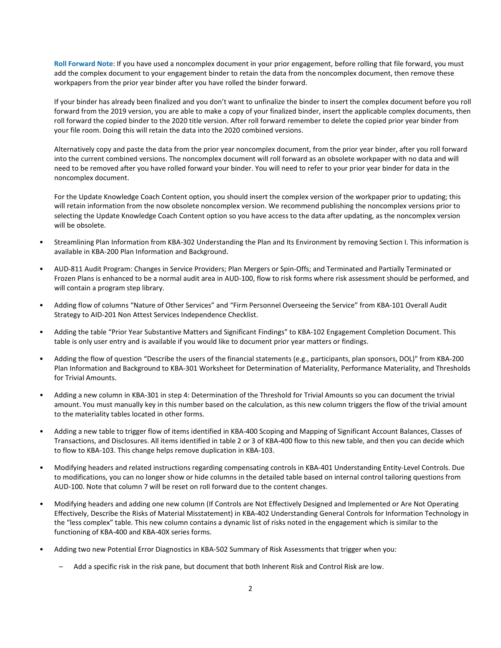**Roll Forward Note**: If you have used a noncomplex document in your prior engagement, before rolling that file forward, you must add the complex document to your engagement binder to retain the data from the noncomplex document, then remove these workpapers from the prior year binder after you have rolled the binder forward.

If your binder has already been finalized and you don't want to unfinalize the binder to insert the complex document before you roll forward from the 2019 version, you are able to make a copy of your finalized binder, insert the applicable complex documents, then roll forward the copied binder to the 2020 title version. After roll forward remember to delete the copied prior year binder from your file room. Doing this will retain the data into the 2020 combined versions.

Alternatively copy and paste the data from the prior year noncomplex document, from the prior year binder, after you roll forward into the current combined versions. The noncomplex document will roll forward as an obsolete workpaper with no data and will need to be removed after you have rolled forward your binder. You will need to refer to your prior year binder for data in the noncomplex document.

For the Update Knowledge Coach Content option, you should insert the complex version of the workpaper prior to updating; this will retain information from the now obsolete noncomplex version. We recommend publishing the noncomplex versions prior to selecting the Update Knowledge Coach Content option so you have access to the data after updating, as the noncomplex version will be obsolete.

- Streamlining Plan Information from KBA-302 Understanding the Plan and Its Environment by removing Section I. This information is available in KBA-200 Plan Information and Background.
- AUD-811 Audit Program: Changes in Service Providers; Plan Mergers or Spin-Offs; and Terminated and Partially Terminated or Frozen Plans is enhanced to be a normal audit area in AUD-100, flow to risk forms where risk assessment should be performed, and will contain a program step library.
- Adding flow of columns "Nature of Other Services" and "Firm Personnel Overseeing the Service" from KBA-101 Overall Audit Strategy to AID-201 Non Attest Services Independence Checklist.
- Adding the table "Prior Year Substantive Matters and Significant Findings" to KBA-102 Engagement Completion Document. This table is only user entry and is available if you would like to document prior year matters or findings.
- Adding the flow of question "Describe the users of the financial statements (e.g., participants, plan sponsors, DOL)" from KBA-200 Plan Information and Background to KBA-301 Worksheet for Determination of Materiality, Performance Materiality, and Thresholds for Trivial Amounts.
- Adding a new column in KBA-301 in step 4: Determination of the Threshold for Trivial Amounts so you can document the trivial amount. You must manually key in this number based on the calculation, as this new column triggers the flow of the trivial amount to the materiality tables located in other forms.
- Adding a new table to trigger flow of items identified in KBA-400 Scoping and Mapping of Significant Account Balances, Classes of Transactions, and Disclosures. All items identified in table 2 or 3 of KBA-400 flow to this new table, and then you can decide which to flow to KBA-103. This change helps remove duplication in KBA-103.
- Modifying headers and related instructions regarding compensating controls in KBA-401 Understanding Entity-Level Controls. Due to modifications, you can no longer show or hide columns in the detailed table based on internal control tailoring questions from AUD-100. Note that column 7 will be reset on roll forward due to the content changes.
- Modifying headers and adding one new column (If Controls are Not Effectively Designed and Implemented or Are Not Operating Effectively, Describe the Risks of Material Misstatement) in KBA-402 Understanding General Controls for Information Technology in the "less complex" table. This new column contains a dynamic list of risks noted in the engagement which is similar to the functioning of KBA-400 and KBA-40X series forms.
- Adding two new Potential Error Diagnostics in KBA-502 Summary of Risk Assessments that trigger when you:
	- Add a specific risk in the risk pane, but document that both Inherent Risk and Control Risk are low.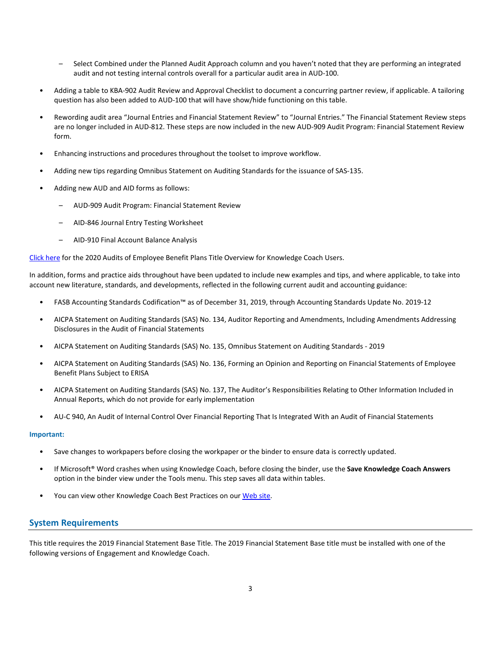- Select Combined under the Planned Audit Approach column and you haven't noted that they are performing an integrated audit and not testing internal controls overall for a particular audit area in AUD-100.
- Adding a table to KBA-902 Audit Review and Approval Checklist to document a concurring partner review, if applicable. A tailoring question has also been added to AUD-100 that will have show/hide functioning on this table.
- Rewording audit area "Journal Entries and Financial Statement Review" to "Journal Entries." The Financial Statement Review steps are no longer included in AUD-812. These steps are now included in the new AUD-909 Audit Program: Financial Statement Review form.
- Enhancing instructions and procedures throughout the toolset to improve workflow.
- Adding new tips regarding Omnibus Statement on Auditing Standards for the issuance of SAS-135.
- Adding new AUD and AID forms as follows:
	- AUD-909 Audit Program: Financial Statement Review
	- AID-846 Journal Entry Testing Worksheet
	- AID-910 Final Account Balance Analysis

[Click here](http://support.cch.com/updates/KnowledgeCoach/pdf/guides_tab/2020%20Employee%20Benefit%20Plans%20Title%20Overview%20for%20Knowledge%20Coach%20Users.pdf) for the 2020 Audits of Employee Benefit Plans Title Overview for Knowledge Coach Users.

In addition, forms and practice aids throughout have been updated to include new examples and tips, and where applicable, to take into account new literature, standards, and developments, reflected in the following current audit and accounting guidance:

- FASB Accounting Standards Codification™ as of December 31, 2019, through Accounting Standards Update No. 2019-12
- AICPA Statement on Auditing Standards (SAS) No. 134, Auditor Reporting and Amendments, Including Amendments Addressing Disclosures in the Audit of Financial Statements
- AICPA Statement on Auditing Standards (SAS) No. 135, Omnibus Statement on Auditing Standards 2019
- AICPA Statement on Auditing Standards (SAS) No. 136, Forming an Opinion and Reporting on Financial Statements of Employee Benefit Plans Subject to ERISA
- AICPA Statement on Auditing Standards (SAS) No. 137, The Auditor's Responsibilities Relating to Other Information Included in Annual Reports, which do not provide for early implementation
- AU-C 940, An Audit of Internal Control Over Financial Reporting That Is Integrated With an Audit of Financial Statements

#### **Important:**

- Save changes to workpapers before closing the workpaper or the binder to ensure data is correctly updated.
- If Microsoft® Word crashes when using Knowledge Coach, before closing the binder, use the **Save Knowledge Coach Answers** option in the binder view under the Tools menu. This step saves all data within tables.
- You can view other Knowledge Coach Best Practices on ou[r Web](https://support.cch.com/kb/solution/000034942/sw34947) site.

# **System Requirements**

This title requires the 2019 Financial Statement Base Title. The 2019 Financial Statement Base title must be installed with one of the following versions of Engagement and Knowledge Coach.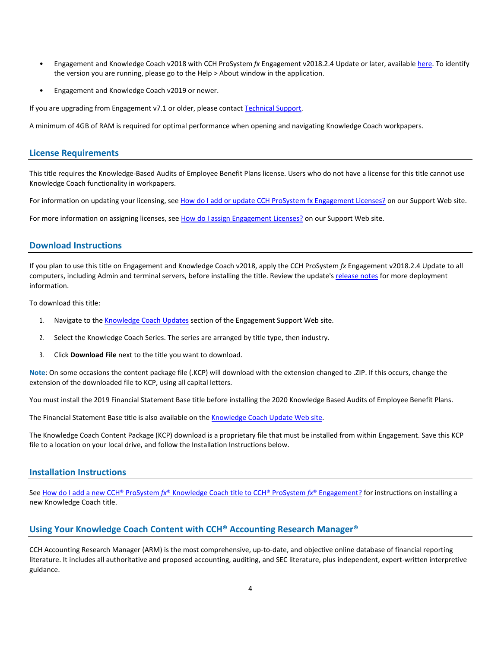- Engagement and Knowledge Coach v2018 with CCH ProSystem *fx* Engagement v2018.2.4 Update or later, available [here.](https://support.cch.com/updates/Engagement/release2018/release2018.aspx) To identify the version you are running, please go to the Help > About window in the application.
- Engagement and Knowledge Coach v2019 or newer.

If you are upgrading from Engagement v7.1 or older, please contact [Technical Support.](https://support.cch.com/contact)

A minimum of 4GB of RAM is required for optimal performance when opening and navigating Knowledge Coach workpapers.

#### **License Requirements**

This title requires the Knowledge-Based Audits of Employee Benefit Plans license. Users who do not have a license for this title cannot use Knowledge Coach functionality in workpapers.

For information on updating your licensing, see [How do I add or update CCH ProSystem fx Engagement Licenses?](https://support.cch.com/kb/solution.aspx/sw3937) on our Support Web site.

For more information on assigning licenses, see [How do I assign Engagement Licenses?](https://support.cch.com/kb/solution.aspx/sw3943) on our Support Web site.

# **Download Instructions**

If you plan to use this title on Engagement and Knowledge Coach v2018, apply the CCH ProSystem *fx* Engagement v2018.2.4 Update to all computers, including Admin and terminal servers, before installing the title. Review the update's [release notes](https://d2iceilwdglxpz.cloudfront.net/release_notes/CCH%20ProSystem%20fx%20Engagement%202018.2.4%20Release%20Notes.pdf) for more deployment information.

To download this title:

- 1. Navigate to the [Knowledge Coach Updates](http://support.cch.com/updates/KnowledgeCoach) section of the Engagement Support Web site.
- 2. Select the Knowledge Coach Series. The series are arranged by title type, then industry.
- 3. Click **Download File** next to the title you want to download.

**Note**: On some occasions the content package file (.KCP) will download with the extension changed to .ZIP. If this occurs, change the extension of the downloaded file to KCP, using all capital letters.

You must install the 2019 Financial Statement Base title before installing the 2020 Knowledge Based Audits of Employee Benefit Plans.

The Financial Statement Base title is also available on th[e Knowledge Coach Update Web](http://support.cch.com/updates/KnowledgeCoach) site.

The Knowledge Coach Content Package (KCP) download is a proprietary file that must be installed from within Engagement. Save this KCP file to a location on your local drive, and follow the Installation Instructions below.

# **Installation Instructions**

See How do I add a new CCH® ProSystem *fx*[® Knowledge Coach title to CCH® ProSystem](https://support.cch.com/kb/solution/000033707/sw30271) *fx*® Engagement? for instructions on installing a new Knowledge Coach title.

# **Using Your Knowledge Coach Content with CCH® Accounting Research Manager®**

CCH Accounting Research Manager (ARM) is the most comprehensive, up-to-date, and objective online database of financial reporting literature. It includes all authoritative and proposed accounting, auditing, and SEC literature, plus independent, expert-written interpretive guidance.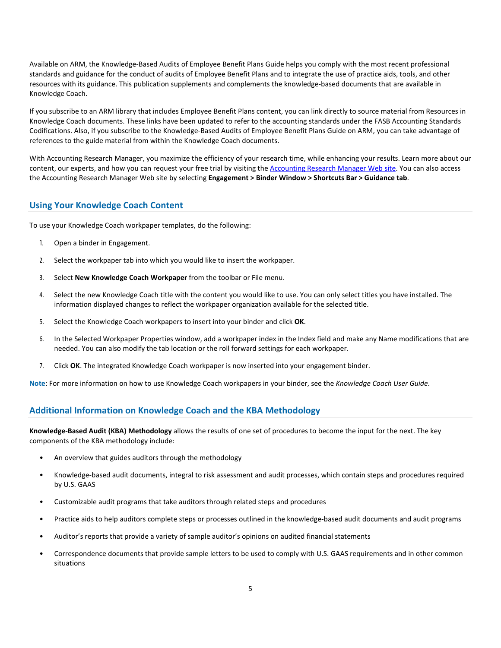Available on ARM, the Knowledge-Based Audits of Employee Benefit Plans Guide helps you comply with the most recent professional standards and guidance for the conduct of audits of Employee Benefit Plans and to integrate the use of practice aids, tools, and other resources with its guidance. This publication supplements and complements the knowledge-based documents that are available in Knowledge Coach.

If you subscribe to an ARM library that includes Employee Benefit Plans content, you can link directly to source material from Resources in Knowledge Coach documents. These links have been updated to refer to the accounting standards under the FASB Accounting Standards Codifications. Also, if you subscribe to the Knowledge-Based Audits of Employee Benefit Plans Guide on ARM, you can take advantage of references to the guide material from within the Knowledge Coach documents.

With Accounting Research Manager, you maximize the efficiency of your research time, while enhancing your results. Learn more about our content, our experts, and how you can request your free trial by visiting the [Accounting Research Manager Web](http://www.accountingresearchmanager.com/) site. You can also access the Accounting Research Manager Web site by selecting **Engagement > Binder Window > Shortcuts Bar > Guidance tab**.

# **Using Your Knowledge Coach Content**

To use your Knowledge Coach workpaper templates, do the following:

- 1. Open a binder in Engagement.
- 2. Select the workpaper tab into which you would like to insert the workpaper.
- 3. Select **New Knowledge Coach Workpaper** from the toolbar or File menu.
- 4. Select the new Knowledge Coach title with the content you would like to use. You can only select titles you have installed. The information displayed changes to reflect the workpaper organization available for the selected title.
- 5. Select the Knowledge Coach workpapers to insert into your binder and click **OK**.
- 6. In the Selected Workpaper Properties window, add a workpaper index in the Index field and make any Name modifications that are needed. You can also modify the tab location or the roll forward settings for each workpaper.
- 7. Click **OK**. The integrated Knowledge Coach workpaper is now inserted into your engagement binder.

**Note**: For more information on how to use Knowledge Coach workpapers in your binder, see the *Knowledge Coach User Guide*.

#### **Additional Information on Knowledge Coach and the KBA Methodology**

**Knowledge-Based Audit (KBA) Methodology** allows the results of one set of procedures to become the input for the next. The key components of the KBA methodology include:

- An overview that guides auditors through the methodology
- Knowledge-based audit documents, integral to risk assessment and audit processes, which contain steps and procedures required by U.S. GAAS
- Customizable audit programs that take auditors through related steps and procedures
- Practice aids to help auditors complete steps or processes outlined in the knowledge-based audit documents and audit programs
- Auditor's reports that provide a variety of sample auditor's opinions on audited financial statements
- Correspondence documents that provide sample letters to be used to comply with U.S. GAAS requirements and in other common situations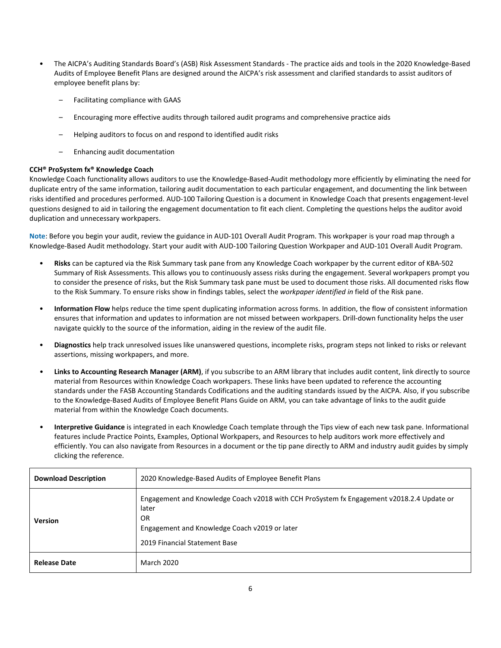- The AICPA's Auditing Standards Board's (ASB) Risk Assessment Standards The practice aids and tools in the 2020 Knowledge-Based Audits of Employee Benefit Plans are designed around the AICPA's risk assessment and clarified standards to assist auditors of employee benefit plans by:
	- Facilitating compliance with GAAS
	- Encouraging more effective audits through tailored audit programs and comprehensive practice aids
	- Helping auditors to focus on and respond to identified audit risks
	- Enhancing audit documentation

#### **CCH® ProSystem fx® Knowledge Coach**

Knowledge Coach functionality allows auditors to use the Knowledge-Based-Audit methodology more efficiently by eliminating the need for duplicate entry of the same information, tailoring audit documentation to each particular engagement, and documenting the link between risks identified and procedures performed. AUD-100 Tailoring Question is a document in Knowledge Coach that presents engagement-level questions designed to aid in tailoring the engagement documentation to fit each client. Completing the questions helps the auditor avoid duplication and unnecessary workpapers.

**Note**: Before you begin your audit, review the guidance in AUD-101 Overall Audit Program. This workpaper is your road map through a Knowledge-Based Audit methodology. Start your audit with AUD-100 Tailoring Question Workpaper and AUD-101 Overall Audit Program.

- **Risks** can be captured via the Risk Summary task pane from any Knowledge Coach workpaper by the current editor of KBA-502 Summary of Risk Assessments. This allows you to continuously assess risks during the engagement. Several workpapers prompt you to consider the presence of risks, but the Risk Summary task pane must be used to document those risks. All documented risks flow to the Risk Summary. To ensure risks show in findings tables, select the *workpaper identified in* field of the Risk pane.
- **Information Flow** helps reduce the time spent duplicating information across forms. In addition, the flow of consistent information ensures that information and updates to information are not missed between workpapers. Drill-down functionality helps the user navigate quickly to the source of the information, aiding in the review of the audit file.
- **Diagnostics** help track unresolved issues like unanswered questions, incomplete risks, program steps not linked to risks or relevant assertions, missing workpapers, and more.
- **Links to Accounting Research Manager (ARM)**, if you subscribe to an ARM library that includes audit content, link directly to source material from Resources within Knowledge Coach workpapers. These links have been updated to reference the accounting standards under the FASB Accounting Standards Codifications and the auditing standards issued by the AICPA. Also, if you subscribe to the Knowledge-Based Audits of Employee Benefit Plans Guide on ARM, you can take advantage of links to the audit guide material from within the Knowledge Coach documents.
- **Interpretive Guidance** is integrated in each Knowledge Coach template through the Tips view of each new task pane. Informational features include Practice Points, Examples, Optional Workpapers, and Resources to help auditors work more effectively and efficiently. You can also navigate from Resources in a document or the tip pane directly to ARM and industry audit guides by simply clicking the reference.

| <b>Download Description</b> | 2020 Knowledge-Based Audits of Employee Benefit Plans                                                                                                                                       |
|-----------------------------|---------------------------------------------------------------------------------------------------------------------------------------------------------------------------------------------|
| <b>Version</b>              | Engagement and Knowledge Coach v2018 with CCH ProSystem fx Engagement v2018.2.4 Update or<br>later<br>OR.<br>Engagement and Knowledge Coach v2019 or later<br>2019 Financial Statement Base |
| <b>Release Date</b>         | March 2020                                                                                                                                                                                  |